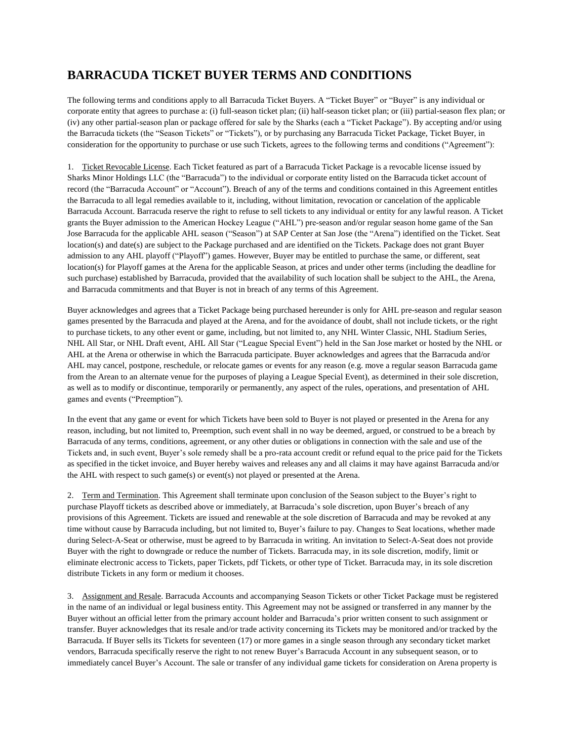## **BARRACUDA TICKET BUYER TERMS AND CONDITIONS**

The following terms and conditions apply to all Barracuda Ticket Buyers. A "Ticket Buyer" or "Buyer" is any individual or corporate entity that agrees to purchase a: (i) full-season ticket plan; (ii) half-season ticket plan; or (iii) partial-season flex plan; or (iv) any other partial-season plan or package offered for sale by the Sharks (each a "Ticket Package"). By accepting and/or using the Barracuda tickets (the "Season Tickets" or "Tickets"), or by purchasing any Barracuda Ticket Package, Ticket Buyer, in consideration for the opportunity to purchase or use such Tickets, agrees to the following terms and conditions ("Agreement"):

1. Ticket Revocable License. Each Ticket featured as part of a Barracuda Ticket Package is a revocable license issued by Sharks Minor Holdings LLC (the "Barracuda") to the individual or corporate entity listed on the Barracuda ticket account of record (the "Barracuda Account" or "Account"). Breach of any of the terms and conditions contained in this Agreement entitles the Barracuda to all legal remedies available to it, including, without limitation, revocation or cancelation of the applicable Barracuda Account. Barracuda reserve the right to refuse to sell tickets to any individual or entity for any lawful reason. A Ticket grants the Buyer admission to the American Hockey League ("AHL") pre-season and/or regular season home game of the San Jose Barracuda for the applicable AHL season ("Season") at SAP Center at San Jose (the "Arena") identified on the Ticket. Seat location(s) and date(s) are subject to the Package purchased and are identified on the Tickets. Package does not grant Buyer admission to any AHL playoff ("Playoff") games. However, Buyer may be entitled to purchase the same, or different, seat location(s) for Playoff games at the Arena for the applicable Season, at prices and under other terms (including the deadline for such purchase) established by Barracuda, provided that the availability of such location shall be subject to the AHL, the Arena, and Barracuda commitments and that Buyer is not in breach of any terms of this Agreement.

Buyer acknowledges and agrees that a Ticket Package being purchased hereunder is only for AHL pre-season and regular season games presented by the Barracuda and played at the Arena, and for the avoidance of doubt, shall not include tickets, or the right to purchase tickets, to any other event or game, including, but not limited to, any NHL Winter Classic, NHL Stadium Series, NHL All Star, or NHL Draft event, AHL All Star ("League Special Event") held in the San Jose market or hosted by the NHL or AHL at the Arena or otherwise in which the Barracuda participate. Buyer acknowledges and agrees that the Barracuda and/or AHL may cancel, postpone, reschedule, or relocate games or events for any reason (e.g. move a regular season Barracuda game from the Arean to an alternate venue for the purposes of playing a League Special Event), as determined in their sole discretion, as well as to modify or discontinue, temporarily or permanently, any aspect of the rules, operations, and presentation of AHL games and events ("Preemption").

In the event that any game or event for which Tickets have been sold to Buyer is not played or presented in the Arena for any reason, including, but not limited to, Preemption, such event shall in no way be deemed, argued, or construed to be a breach by Barracuda of any terms, conditions, agreement, or any other duties or obligations in connection with the sale and use of the Tickets and, in such event, Buyer's sole remedy shall be a pro-rata account credit or refund equal to the price paid for the Tickets as specified in the ticket invoice, and Buyer hereby waives and releases any and all claims it may have against Barracuda and/or the AHL with respect to such game(s) or event(s) not played or presented at the Arena.

2. Term and Termination. This Agreement shall terminate upon conclusion of the Season subject to the Buyer's right to purchase Playoff tickets as described above or immediately, at Barracuda's sole discretion, upon Buyer's breach of any provisions of this Agreement. Tickets are issued and renewable at the sole discretion of Barracuda and may be revoked at any time without cause by Barracuda including, but not limited to, Buyer's failure to pay. Changes to Seat locations, whether made during Select-A-Seat or otherwise, must be agreed to by Barracuda in writing. An invitation to Select-A-Seat does not provide Buyer with the right to downgrade or reduce the number of Tickets. Barracuda may, in its sole discretion, modify, limit or eliminate electronic access to Tickets, paper Tickets, pdf Tickets, or other type of Ticket. Barracuda may, in its sole discretion distribute Tickets in any form or medium it chooses.

3. Assignment and Resale. Barracuda Accounts and accompanying Season Tickets or other Ticket Package must be registered in the name of an individual or legal business entity. This Agreement may not be assigned or transferred in any manner by the Buyer without an official letter from the primary account holder and Barracuda's prior written consent to such assignment or transfer. Buyer acknowledges that its resale and/or trade activity concerning its Tickets may be monitored and/or tracked by the Barracuda. If Buyer sells its Tickets for seventeen (17) or more games in a single season through any secondary ticket market vendors, Barracuda specifically reserve the right to not renew Buyer's Barracuda Account in any subsequent season, or to immediately cancel Buyer's Account. The sale or transfer of any individual game tickets for consideration on Arena property is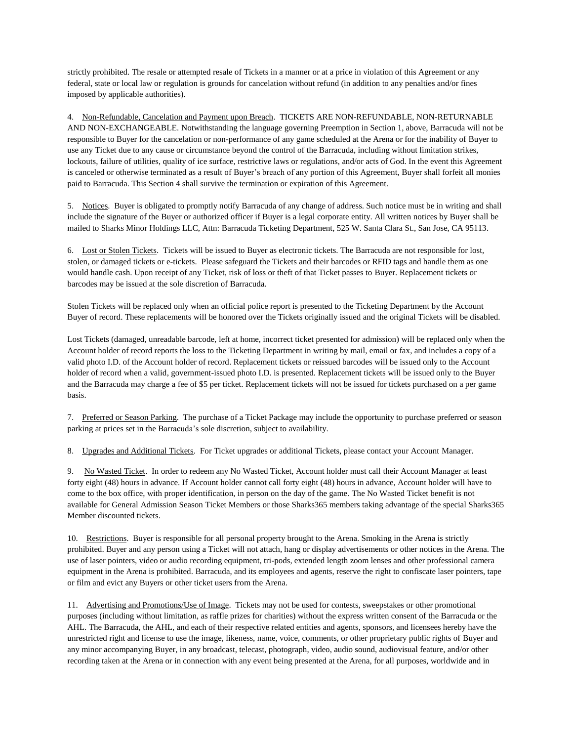strictly prohibited. The resale or attempted resale of Tickets in a manner or at a price in violation of this Agreement or any federal, state or local law or regulation is grounds for cancelation without refund (in addition to any penalties and/or fines imposed by applicable authorities).

4. Non-Refundable, Cancelation and Payment upon Breach. TICKETS ARE NON-REFUNDABLE, NON-RETURNABLE AND NON-EXCHANGEABLE. Notwithstanding the language governing Preemption in Section 1, above, Barracuda will not be responsible to Buyer for the cancelation or non-performance of any game scheduled at the Arena or for the inability of Buyer to use any Ticket due to any cause or circumstance beyond the control of the Barracuda, including without limitation strikes, lockouts, failure of utilities, quality of ice surface, restrictive laws or regulations, and/or acts of God. In the event this Agreement is canceled or otherwise terminated as a result of Buyer's breach of any portion of this Agreement, Buyer shall forfeit all monies paid to Barracuda. This Section 4 shall survive the termination or expiration of this Agreement.

5. Notices. Buyer is obligated to promptly notify Barracuda of any change of address. Such notice must be in writing and shall include the signature of the Buyer or authorized officer if Buyer is a legal corporate entity. All written notices by Buyer shall be mailed to Sharks Minor Holdings LLC, Attn: Barracuda Ticketing Department, 525 W. Santa Clara St., San Jose, CA 95113.

6. Lost or Stolen Tickets. Tickets will be issued to Buyer as electronic tickets. The Barracuda are not responsible for lost, stolen, or damaged tickets or e-tickets. Please safeguard the Tickets and their barcodes or RFID tags and handle them as one would handle cash. Upon receipt of any Ticket, risk of loss or theft of that Ticket passes to Buyer. Replacement tickets or barcodes may be issued at the sole discretion of Barracuda.

Stolen Tickets will be replaced only when an official police report is presented to the Ticketing Department by the Account Buyer of record. These replacements will be honored over the Tickets originally issued and the original Tickets will be disabled.

Lost Tickets (damaged, unreadable barcode, left at home, incorrect ticket presented for admission) will be replaced only when the Account holder of record reports the loss to the Ticketing Department in writing by mail, email or fax, and includes a copy of a valid photo I.D. of the Account holder of record. Replacement tickets or reissued barcodes will be issued only to the Account holder of record when a valid, government-issued photo I.D. is presented. Replacement tickets will be issued only to the Buyer and the Barracuda may charge a fee of \$5 per ticket. Replacement tickets will not be issued for tickets purchased on a per game basis.

7. Preferred or Season Parking. The purchase of a Ticket Package may include the opportunity to purchase preferred or season parking at prices set in the Barracuda's sole discretion, subject to availability.

8. Upgrades and Additional Tickets. For Ticket upgrades or additional Tickets, please contact your Account Manager.

9. No Wasted Ticket. In order to redeem any No Wasted Ticket, Account holder must call their Account Manager at least forty eight (48) hours in advance. If Account holder cannot call forty eight (48) hours in advance, Account holder will have to come to the box office, with proper identification, in person on the day of the game. The No Wasted Ticket benefit is not available for General Admission Season Ticket Members or those Sharks365 members taking advantage of the special Sharks365 Member discounted tickets.

10. Restrictions. Buyer is responsible for all personal property brought to the Arena. Smoking in the Arena is strictly prohibited. Buyer and any person using a Ticket will not attach, hang or display advertisements or other notices in the Arena. The use of laser pointers, video or audio recording equipment, tri-pods, extended length zoom lenses and other professional camera equipment in the Arena is prohibited. Barracuda, and its employees and agents, reserve the right to confiscate laser pointers, tape or film and evict any Buyers or other ticket users from the Arena.

11. Advertising and Promotions/Use of Image. Tickets may not be used for contests, sweepstakes or other promotional purposes (including without limitation, as raffle prizes for charities) without the express written consent of the Barracuda or the AHL. The Barracuda, the AHL, and each of their respective related entities and agents, sponsors, and licensees hereby have the unrestricted right and license to use the image, likeness, name, voice, comments, or other proprietary public rights of Buyer and any minor accompanying Buyer, in any broadcast, telecast, photograph, video, audio sound, audiovisual feature, and/or other recording taken at the Arena or in connection with any event being presented at the Arena, for all purposes, worldwide and in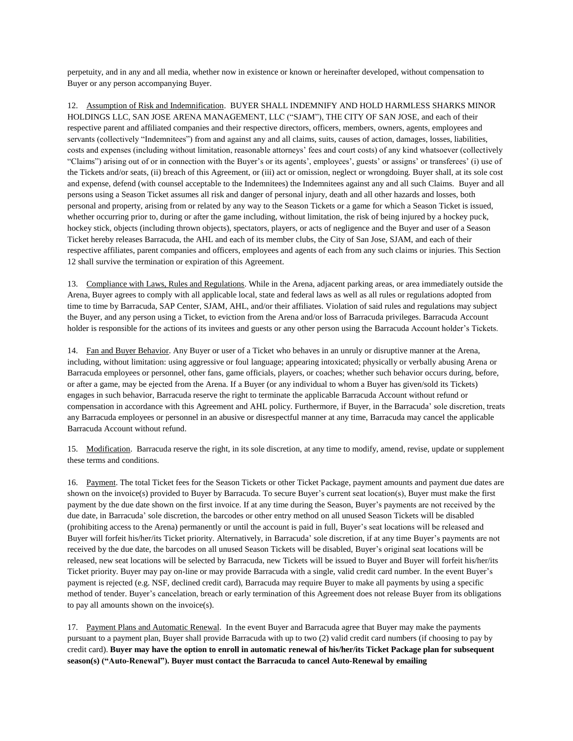perpetuity, and in any and all media, whether now in existence or known or hereinafter developed, without compensation to Buyer or any person accompanying Buyer.

12. Assumption of Risk and Indemnification. BUYER SHALL INDEMNIFY AND HOLD HARMLESS SHARKS MINOR HOLDINGS LLC, SAN JOSE ARENA MANAGEMENT, LLC ("SJAM"), THE CITY OF SAN JOSE, and each of their respective parent and affiliated companies and their respective directors, officers, members, owners, agents, employees and servants (collectively "Indemnitees") from and against any and all claims, suits, causes of action, damages, losses, liabilities, costs and expenses (including without limitation, reasonable attorneys' fees and court costs) of any kind whatsoever (collectively "Claims") arising out of or in connection with the Buyer's or its agents', employees', guests' or assigns' or transferees' (i) use of the Tickets and/or seats, (ii) breach of this Agreement, or (iii) act or omission, neglect or wrongdoing. Buyer shall, at its sole cost and expense, defend (with counsel acceptable to the Indemnitees) the Indemnitees against any and all such Claims. Buyer and all persons using a Season Ticket assumes all risk and danger of personal injury, death and all other hazards and losses, both personal and property, arising from or related by any way to the Season Tickets or a game for which a Season Ticket is issued, whether occurring prior to, during or after the game including, without limitation, the risk of being injured by a hockey puck, hockey stick, objects (including thrown objects), spectators, players, or acts of negligence and the Buyer and user of a Season Ticket hereby releases Barracuda, the AHL and each of its member clubs, the City of San Jose, SJAM, and each of their respective affiliates, parent companies and officers, employees and agents of each from any such claims or injuries. This Section 12 shall survive the termination or expiration of this Agreement.

13. Compliance with Laws, Rules and Regulations. While in the Arena, adjacent parking areas, or area immediately outside the Arena, Buyer agrees to comply with all applicable local, state and federal laws as well as all rules or regulations adopted from time to time by Barracuda, SAP Center, SJAM, AHL, and/or their affiliates. Violation of said rules and regulations may subject the Buyer, and any person using a Ticket, to eviction from the Arena and/or loss of Barracuda privileges. Barracuda Account holder is responsible for the actions of its invitees and guests or any other person using the Barracuda Account holder's Tickets.

14. Fan and Buyer Behavior. Any Buyer or user of a Ticket who behaves in an unruly or disruptive manner at the Arena, including, without limitation: using aggressive or foul language; appearing intoxicated; physically or verbally abusing Arena or Barracuda employees or personnel, other fans, game officials, players, or coaches; whether such behavior occurs during, before, or after a game, may be ejected from the Arena. If a Buyer (or any individual to whom a Buyer has given/sold its Tickets) engages in such behavior, Barracuda reserve the right to terminate the applicable Barracuda Account without refund or compensation in accordance with this Agreement and AHL policy. Furthermore, if Buyer, in the Barracuda' sole discretion, treats any Barracuda employees or personnel in an abusive or disrespectful manner at any time, Barracuda may cancel the applicable Barracuda Account without refund.

15. Modification. Barracuda reserve the right, in its sole discretion, at any time to modify, amend, revise, update or supplement these terms and conditions.

16. Payment. The total Ticket fees for the Season Tickets or other Ticket Package, payment amounts and payment due dates are shown on the invoice(s) provided to Buyer by Barracuda. To secure Buyer's current seat location(s), Buyer must make the first payment by the due date shown on the first invoice. If at any time during the Season, Buyer's payments are not received by the due date, in Barracuda' sole discretion, the barcodes or other entry method on all unused Season Tickets will be disabled (prohibiting access to the Arena) permanently or until the account is paid in full, Buyer's seat locations will be released and Buyer will forfeit his/her/its Ticket priority. Alternatively, in Barracuda' sole discretion, if at any time Buyer's payments are not received by the due date, the barcodes on all unused Season Tickets will be disabled, Buyer's original seat locations will be released, new seat locations will be selected by Barracuda, new Tickets will be issued to Buyer and Buyer will forfeit his/her/its Ticket priority. Buyer may pay on-line or may provide Barracuda with a single, valid credit card number. In the event Buyer's payment is rejected (e.g. NSF, declined credit card), Barracuda may require Buyer to make all payments by using a specific method of tender. Buyer's cancelation, breach or early termination of this Agreement does not release Buyer from its obligations to pay all amounts shown on the invoice(s).

17. Payment Plans and Automatic Renewal. In the event Buyer and Barracuda agree that Buyer may make the payments pursuant to a payment plan, Buyer shall provide Barracuda with up to two (2) valid credit card numbers (if choosing to pay by credit card). **Buyer may have the option to enroll in automatic renewal of his/her/its Ticket Package plan for subsequent season(s) ("Auto-Renewal"). Buyer must contact the Barracuda to cancel Auto-Renewal by emailing**